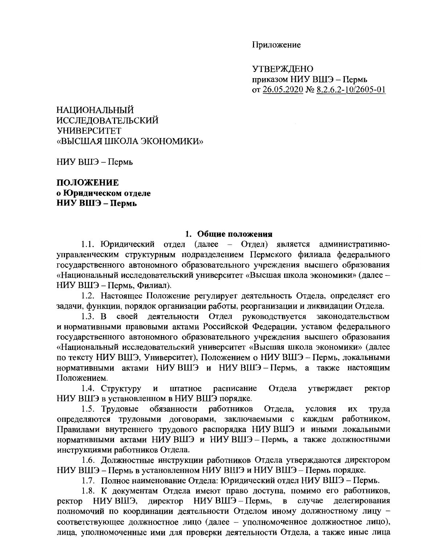Приложение

**УТВЕРЖДЕНО** приказом НИУ ВШЭ - Пермь от 26.05.2020 № 8.2.6.2-10/2605-01

НАЦИОНАЛЬНЫЙ ИССЛЕДОВАТЕЛЬСКИЙ **УНИВЕРСИТЕТ** «ВЫСШАЯ ШКОЛА ЭКОНОМИКИ»

НИУ ВШЭ – Пермь

# ПОЛОЖЕНИЕ о Юридическом отделе НИУ ВШЭ – Пермь

### 1. Обшие положения

1.1. Юридический отдел (далее – Отдел) является административноуправленческим структурным подразделением Пермского филиала федерального государственного автономного образовательного учреждения высшего образования «Национальный исследовательский университет «Высшая школа экономики» (далее -НИУ ВШЭ - Пермь. Филиал).

1.2. Настоящее Положение регулирует деятельность Отдела, определяет его задачи, функции, порядок организации работы, реорганизации и ликвидации Отдела.

1.3. В своей деятельности Отдел руководствуется законодательством и нормативными правовыми актами Российской Федерации, уставом федерального государственного автономного образовательного учреждения высшего образования «Национальный исследовательский университет «Высшая школа экономики» (далее по тексту НИУ ВШЭ, Университет), Положением о НИУ ВШЭ - Пермь, локальными нормативными актами НИУВШЭ и НИУВШЭ-Пермь, а также настоящим Положением.

1.4. Структуру Отдела  $\mathbf{M}$ штатное расписание утверждает ректор НИУ ВШЭ в установленном в НИУ ВШЭ порядке.

1.5. Трудовые обязанности работников Отдела, условия ИХ труда определяются трудовыми договорами, заключаемыми с каждым работником, Правилами внутреннего трудового распорядка НИУ ВШЭ и иными локальными нормативными актами НИУ ВШЭ и НИУ ВШЭ - Пермь, а также должностными инструкциями работников Отдела.

1.6. Должностные инструкции работников Отдела утверждаются директором НИУ ВШЭ – Пермь в установленном НИУ ВШЭ и НИУ ВШЭ – Пермь порядке.

1.7. Полное наименование Отдела: Юридический отдел НИУ ВШЭ - Пермь.

1.8. К документам Отдела имеют право доступа, помимо его работников, ректор НИУ ВШЭ, директор НИУ ВШЭ – Пермь, в делегирования случае полномочий по координации деятельности Отделом иному должностному лицу соответствующее должностное лицо (далее - уполномоченное должностное лицо), лица, уполномоченные ими для проверки деятельности Отдела, а также иные лица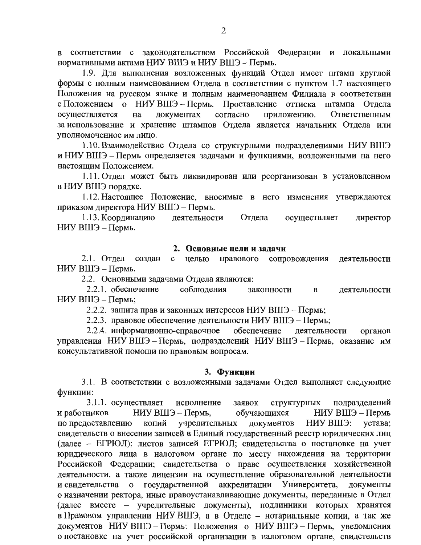в соответствии с законодательством Российской Федерации и локальными нормативными актами НИУ ВШЭ и НИУ ВШЭ - Пермь.

1.9. Для выполнения возложенных функций Отдел имеет штамп круглой формы с полным наименованием Отдела в соответствии с пунктом 1.7 настоящего Положения на русском языке и полным наименованием Филиала в соответствии с Положением о НИУ ВШЭ - Пермь. Проставление оттиска штампа Отдела осуществляется локументах согласно Ответственным на приложению. за использование и хранение штампов Отдела является начальник Отдела или уполномоченное им лицо.

1.10. Взаимодействие Отдела со структурными подразделениями НИУ ВШЭ и НИУ ВШЭ - Пермь определяется задачами и функциями, возложенными на него настоящим Положением.

1.11. Отдел может быть ликвидирован или реорганизован в установленном в НИУ ВШЭ порядке.

1.12. Настоящее Положение, вносимые в него изменения утверждаются приказом директора НИУ ВШЭ - Пермь.

1.13. Координацию деятельности Отдела осуществляет директор НИУ ВШЭ - Пермь.

#### 2. Основные цели и задачи

2.1. Отдел создан целью правового сопровождения  $\mathbf{c}$ деятельности НИУ ВШЭ - Пермь.

2.2. Основными задачами Отдела являются:

соблюдения 2.2.1. обеспечение законности  $\bf{B}$ леятельности НИУ ВШЭ – Пермь;

2.2.2. защита прав и законных интересов НИУ ВШЭ - Пермь;

2.2.3. правовое обеспечение деятельности НИУ ВШЭ - Пермь;

2.2.4. информационно-справочное обеспечение деятельности органов управления НИУ ВШЭ - Пермь, подразделений НИУ ВШЭ - Пермь, оказание им консультативной помощи по правовым вопросам.

#### 3. Функции

3.1. В соответствии с возложенными задачами Отдел выполняет следующие функции:

3.1.1. осуществляет исполнение заявок структурных подразделений и работников НИУ ВШЭ - Пермь, обучающихся НИУ ВШЭ – Пермь учредительных НИУ ВШЭ: по предоставлению копий документов устава: свидетельств о внесении записей в Единый государственный реестр юридических лиц (далее - ЕГРЮЛ); листов записей ЕГРЮЛ; свидетельства о постановке на учет юридического лица в налоговом органе по месту нахождения на территории Российской Федерации; свидетельства о праве осуществления хозяйственной деятельности, а также лицензии на осуществление образовательной деятельности и свидетельства о государственной аккредитации Университета, документы о назначении ректора, иные правоустанавливающие документы, переданные в Отдел (далее вместе - учредительные документы), подлинники которых хранятся в Правовом управлении НИУ ВШЭ, а в Отделе - нотариальные копии, а так же документов НИУ ВШЭ - Пермь: Положения о НИУ ВШЭ - Пермь, уведомления о постановке на учет российской организации в налоговом органе, свидетельств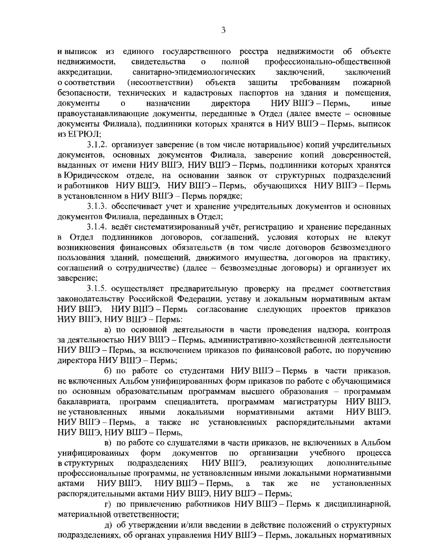единого государственного реестра недвижимости об объекте и выписок из профессионально-общественной свидетельства полной недвижимости.  $\mathbf{o}$ заключений, санитарно-эпидемиологических заключений аккредитации, требованиям о соответствии (несоответствии) объекта защиты пожарной безопасности, технических и кадастровых паспортов на здания и помещения, НИУ ВШЭ – Пермь, директора иные документы  $\mathbf{o}$ назначении правоустанавливающие документы, переданные в Отдел (далее вместе - основные документы Филиала), подлинники которых хранятся в НИУ ВШЭ – Пермь, выписок из ЕГРЮЛ:

3.1.2. организует заверение (в том числе нотариальное) копий учредительных документов, основных документов Филиала, заверение копий доверенностей, выданных от имени НИУ ВШЭ, НИУ ВШЭ - Пермь, подлинники которых хранятся в Юридическом отделе, на основании заявок от структурных подразделений и работников НИУ ВШЭ, НИУ ВШЭ - Пермь, обучающихся НИУ ВШЭ - Пермь в установленном в НИУ ВШЭ - Пермь порядке;

3.1.3. обеспечивает учет и хранение учредительных документов и основных документов Филиала, переданных в Отдел;

3.1.4. ведёт систематизированный учёт, регистрацию и хранение переданных в Отдел подлинников договоров, соглашений, условия которых не влекут возникновения финансовых обязательств (в том числе договоров безвозмездного пользования зданий, помещений, движимого имущества, договоров на практику, соглашений о сотрудничестве) (далее - безвозмездные договоры) и организует их заверение;

3.1.5. осуществляет предварительную проверку на предмет соответствия законодательству Российской Федерации, уставу и локальным нормативным актам НИУ ВШЭ, НИУ ВШЭ – Пермь согласование следующих проектов приказов НИУ ВШЭ, НИУ ВШЭ – Пермь:

а) по основной деятельности в части проведения надзора, контроля за деятельностью НИУ ВШЭ - Пермь, административно-хозяйственной деятельности НИУ ВШЭ – Пермь, за исключением приказов по финансовой работе, по поручению директора НИУ ВШЭ - Пермь;

б) по работе со студентами НИУВШЭ - Пермь в части приказов, не включенных Альбом унифицированных форм приказов по работе с обучающимися по основным образовательным программам высшего образования - программам НИУ ВШЭ. бакалавриата, программ специалитета, программам магистратуры НИУ ВШЭ. не установленных нормативными актами **ИНЫМИ** локальными НИУ ВШЭ – Пермь, а также не установленных распорядительными актами НИУ ВШЭ, НИУ ВШЭ - Пермь,

в) по работе со слушателями в части приказов, не включенных в Альбом организации учебного процесса унифицированных форм документов  $\Pi$ O НИУ ВШЭ, подразделениях реализующих дополнительные в структурных профессиональные программы, не установленным иными локальными нормативными НИУ ВШЭ – Пермь, установленных НИУ ВШЭ. актами a так же He распорядительными актами НИУ ВШЭ, НИУ ВШЭ - Пермь;

г) по привлечению работников НИУ ВШЭ - Пермь к дисциплинарной, материальной ответственности;

д) об утверждении и/или введении в действие положений о структурных подразделениях, об органах управления НИУ ВШЭ - Пермь, локальных нормативных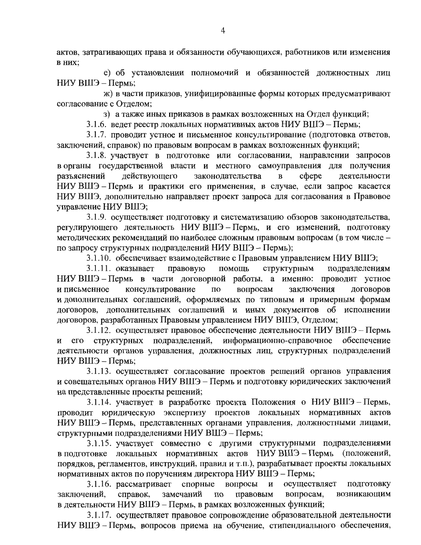актов, затрагивающих права и обязанности обучающихся, работников или изменения в них;

е) об установлении полномочий и обязанностей должностных лиц НИУ ВШЭ – Пермь;

ж) в части приказов, унифицированные формы которых предусматривают согласование с Отделом:

з) а также иных приказов в рамках возложенных на Отдел функций;

3.1.6. ведет реестр локальных нормативных актов НИУ ВШЭ - Пермь;

3.1.7. проводит устное и письменное консультирование (подготовка ответов, заключений, справок) по правовым вопросам в рамках возложенных функций;

3.1.8. участвует в подготовке или согласовании, направлении запросов в органы государственной власти и местного самоуправления для получения действующего разъяснений законодательства  $\overline{\mathbf{R}}$ cobepe деятельности НИУ ВШЭ - Пермь и практики его применения, в случае, если запрос касается НИУ ВШЭ, дополнительно направляет проект запроса для согласования в Правовое управление НИУ ВШЭ;

3.1.9. осуществляет подготовку и систематизацию обзоров законодательства, регулирующего деятельность НИУ ВШЭ - Пермь, и его изменений, подготовку методических рекомендаций по наиболее сложным правовым вопросам (в том числе по запросу структурных подразделений НИУ ВШЭ - Пермь);

3.1.10. обеспечивает взаимодействие с Правовым управлением НИУ ВШЭ;

 $3.1.11.$  оказывает правовую ПОМОЩЬ структурным подразделениям НИУ ВШЭ – Пермь в части договорной работы, а именно: проводит устное консультирование вопросам заключения договоров и письменное  $\overline{a}$ и дополнительных соглашений, оформляемых по типовым и примерным формам договоров, дополнительных соглашений и иных документов об исполнении договоров, разработанных Правовым управлением НИУ ВШЭ, Отделом;

3.1.12. осуществляет правовое обеспечение деятельности НИУ ВШЭ - Пермь его структурных подразделений, информационно-справочное обеспечение  $\mathbf{M}$ деятельности органов управления, должностных лиц, структурных подразделений НИУ ВШЭ - Пермь;

3.1.13. осуществляет согласование проектов решений органов управления и совещательных органов НИУ ВШЭ - Пермь и подготовку юридических заключений на представленные проекты решений;

3.1.14. участвует в разработке проекта Положения о НИУ ВШЭ - Пермь, проводит юридическую экспертизу проектов локальных нормативных актов НИУ ВШЭ - Пермь, представленных органами управления, должностными лицами, структурными подразделениями НИУ ВШЭ - Пермь;

3.1.15. участвует совместно с другими структурными подразделениями в подготовке локальных нормативных актов НИУ ВШЭ - Пермь (положений, порядков, регламентов, инструкций, правил и т.п.), разрабатывает проекты локальных нормативных актов по поручениям директора НИУ ВШЭ - Пермь;

3.1.16. рассматривает спорные осуществляет вопросы и ПОДГОТОВКУ возникающим справок, замечаний вопросам, заключений. по правовым в деятельности НИУ ВШЭ - Пермь, в рамках возложенных функций;

3.1.17. осуществляет правовое сопровождение образовательной деятельности НИУ ВШЭ - Пермь, вопросов приема на обучение, стипендиального обеспечения,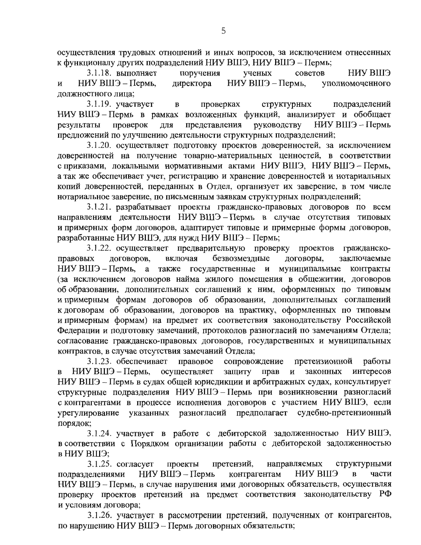осуществления трудовых отношений и иных вопросов, за исключением отнесенных к функционалу других подразделений НИУ ВШЭ, НИУ ВШЭ - Пермь;

3.1.18. выполняет поручения ученых советов ЕШЯ УНН НИУ ВШЭ – Пермь, директора НИУ ВШЭ – Пермь, уполномоченного  $\mathbf{M}$ должностного лица;

3.1.19. участвует  $\, {\bf B}$ проверках структурных подразделений НИУ ВШЭ - Пермь в рамках возложенных функций, анализирует и обобщает результаты проверок для представления руководству НИУ ВШЭ – Пермь предложений по улучшению деятельности структурных подразделений;

3.1.20. осуществляет подготовку проектов доверенностей, за исключением доверенностей на получение товарно-материальных ценностей, в соответствии с приказами, локальными нормативными актами НИУ ВШЭ, НИУ ВШЭ - Пермь, а так же обеспечивает учет, регистрацию и хранение доверенностей и нотариальных копий доверенностей, переданных в Отдел, организует их заверение, в том числе нотариальное заверение, по письменным заявкам структурных подразделений;

3.1.21. разрабатывает проекты гражданско-правовых договоров по всем направлениям деятельности НИУВШЭ-Пермь в случае отсутствия типовых и примерных форм договоров, адаптирует типовые и примерные формы договоров, разработанные НИУ ВШЭ, для нужд НИУ ВШЭ - Пермь;

3.1.22. осуществляет предварительную проверку проектов гражданскоправовых договоров, включая безвозмездные договоры, заключаемые муниципальные НИУ ВШЭ – Пермь. а также государственные и контракты (за исключением договоров найма жилого помещения в общежитии, договоров об образовании, дополнительных соглашений к ним, оформленных по типовым и примерным формам договоров об образовании, дополнительных соглашений к договорам об образовании, договоров на практику, оформленных по типовым и примерным формам) на предмет их соответствия законодательству Российской Федерации и подготовку замечаний, протоколов разногласий по замечаниям Отдела; согласование гражданско-правовых договоров, государственных и муниципальных контрактов, в случае отсутствия замечаний Отдела;

3.1.23. обеспечивает правовое сопровождение претензионной работы НИУ ВШЭ – Пермь, осуществляет защиту прав  $\mathbf{M}$ законных интересов  $\bf{B}$ НИУ ВШЭ - Пермь в судах общей юрисдикции и арбитражных судах, консультирует структурные подразделения НИУ ВШЭ - Пермь при возникновении разногласий с контрагентами в процессе исполнения договоров с участием НИУ ВШЭ, если разногласий предполагает судебно-претензионный урегулирование указанных порядок;

3.1.24. участвует в работе с дебиторской задолженностью НИУВШЭ, в соответствии с Порядком организации работы с дебиторской задолженностью в НИУ ВШЭ;

 $3.1.25.$  согласует проекты претензий, направляемых структурными НИУ ВШЭ - Пермь НИУ ВШЭ контрагентам  $\mathbf{B}$ части подразделениями НИУ ВШЭ - Пермь, в случае нарушения ими договорных обязательств, осуществляя проверку проектов претензий на предмет соответствия законодательству РФ и условиям договора;

3.1.26. участвует в рассмотрении претензий, полученных от контрагентов, по нарушению НИУ ВШЭ - Пермь договорных обязательств;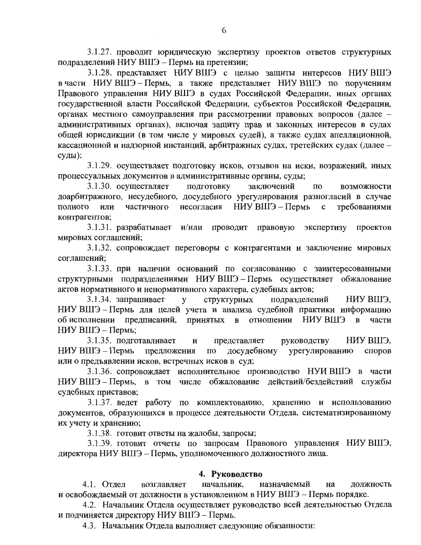3.1.27. проводит юридическую экспертизу проектов ответов структурных подразделений НИУ ВШЭ - Пермь на претензии;

3.1.28. представляет НИУ ВШЭ с целью защиты интересов НИУ ВШЭ в части НИУ ВШЭ - Пермь, а также представляет НИУ ВШЭ по поручениям Правового управления НИУ ВШЭ в судах Российской Федерации, иных органах государственной власти Российской Федерации, субъектов Российской Федерации, органах местного самоуправления при рассмотрении правовых вопросов (далее административных органах), включая защиту прав и законных интересов в судах общей юрисдикции (в том числе у мировых судей), а также судах апелляционной, кассационной и надзорной инстанций, арбитражных судах, третейских судах (далее суды);

3.1.29. осуществляет подготовку исков, отзывов на иски, возражений, иных процессуальных документов в административные органы, суды;

3.1.30. осуществляет ПОДГОТОВКУ заключений по возможности доарбитражного, несудебного, досудебного урегулирования разногласий в случае НИУ ВШЭ – Пермь полного или частичного несогласия  $\mathbf{c}$ требованиями контрагентов;

3.1.31. разрабатывает и/или проводит правовую экспертизу проектов мировых соглашений;

3.1.32. сопровождает переговоры с контрагентами и заключение мировых соглашений:

3.1.33. при наличии оснований по согласованию с заинтересованными структурными подразделениями НИУВШЭ-Пермь осуществляет обжалование актов нормативного и ненормативного характера, судебных актов;

3.1.34. запрашивает структурных подразделений НИУ ВШЭ,  $\mathbf{V}$ НИУ ВШЭ - Пермь для целей учета и анализа судебной практики информацию об исполнении предписаний, принятых в отношении НИУВШЭ  $\mathbf{R}$ части НИУ ВШЭ - Пермь;

3.1.35. подготавливает представляет руководству НИУ ВШЭ.  $\mathbf{M}$ НИУ ВШЭ – Пермь досудебному урегулированию предложения  $\Pi\mathbf{O}$ споров или о предъявлении исков, встречных исков в суд;

3.1.36. сопровождает исполнительное производство НУИВШЭ в части НИУ ВШЭ - Пермь, в том числе обжалование действий/бездействий службы судебных приставов;

3.1.37. ведет работу по комплектованию, хранению и использованию документов, образующихся в процессе деятельности Отдела, систематизированному их учету и хранению;

3.1.38. готовит ответы на жалобы, запросы;

3.1.39. готовит отчеты по запросам Правового управления НИУ ВШЭ, директора НИУ ВШЭ - Пермь, уполномоченного должностного лица.

## 4. Руководство

4.1. Отдел возглавляет начальник, назначаемый на должность и освобождаемый от должности в установленном в НИУ ВШЭ - Пермь порядке.

4.2. Начальник Отдела осуществляет руководство всей деятельностью Отдела и подчиняется директору НИУ ВШЭ - Пермь.

4.3. Начальник Отдела выполняет следующие обязанности: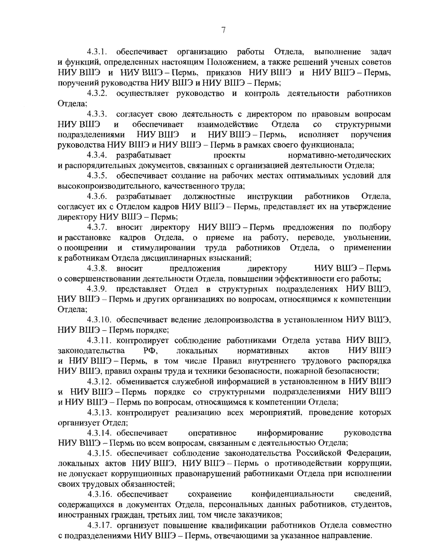4.3.1. обеспечивает организацию работы Отдела, выполнение залач и функций, определенных настоящим Положением, а также решений ученых советов НИУ ВШЭ и НИУ ВШЭ – Пермь, приказов НИУ ВШЭ и НИУ ВШЭ – Пермь. поручений руководства НИУ ВШЭ и НИУ ВШЭ - Пермь;

4.3.2. осуществляет руководство и контроль деятельности работников Отдела:

 $4.3.3.$ согласует свою деятельность с директором по правовым вопросам ЕШЯ УМН И обеспечивает взаимодействие Отдела  $\overline{c}$ структурными НИУ ВШЭ - Пермь, подразделениями НИУ ВШЭ исполняет поручения  $\mathbf{M}$ руководства НИУ ВШЭ и НИУ ВШЭ - Пермь в рамках своего функционала;

4.3.4. разрабатывает проекты нормативно-методических и распорядительных документов, связанных с организацией деятельности Отдела;

обеспечивает создание на рабочих местах оптимальных условий для  $4.3.5.$ высокопроизводительного, качественного труда;

4.3.6. разрабатывает должностные инструкции работников Отдела. согласует их с Отделом кадров НИУ ВШЭ - Пермь, представляет их на утверждение директору НИУ ВШЭ – Пермь;

 $4.3.7.$ вносит директору НИУВШЭ - Пермь предложения по подбору и расстановке кадров Отдела, о приеме на работу, переводе, увольнении, о поощрении и стимулировании труда работников Отдела, применении  $\mathbf{o}$ к работникам Отдела дисциплинарных взысканий;

4.3.8. вносит предложения директору НИУ ВШЭ – Пермь о совершенствовании деятельности Отдела, повышении эффективности его работы;

представляет Отдел в структурных подразделениях НИУВШЭ, 4.3.9. НИУ ВШЭ - Пермь и других организациях по вопросам, относящимся к компетенции Отдела:

4.3.10. обеспечивает ведение делопроизводства в установленном НИУ ВШЭ, НИУ ВШЭ - Пермь порядке;

4.3.11. контролирует соблюдение работниками Отдела устава НИУ ВШЭ, PФ. ЕШЯ УМН законолательства нормативных актов локальных и НИУВШЭ-Пермь, в том числе Правил внутреннего трудового распорядка НИУ ВШЭ, правил охраны труда и техники безопасности, пожарной безопасности;

4.3.12. обменивается служебной информацией в установленном в НИУ ВШЭ и НИУ ВШЭ - Пермь порядке со структурными подразделениями НИУ ВШЭ и НИУ ВШЭ - Пермь по вопросам, относящимся к компетенции Отдела;

4.3.13. контролирует реализацию всех мероприятий, проведение которых организует Отдел;

4.3.14. обеспечивает оперативное информирование руководства НИУ ВШЭ - Пермь по всем вопросам, связанным с деятельностью Отдела;

4.3.15. обеспечивает соблюдение законодательства Российской Федерации, локальных актов НИУ ВШЭ, НИУ ВШЭ - Пермь о противодействии коррупции, не допускает коррупционных правонарушений работниками Отдела при исполнении своих трудовых обязанностей;

4.3.16. обеспечивает конфиденциальности сведений, сохранение содержащихся в документах Отдела, персональных данных работников, студентов, иностранных граждан, третьих лиц, том числе заказчиков;

4.3.17. организует повышение квалификации работников Отдела совместно с подразделениями НИУ ВШЭ - Пермь, отвечающими за указанное направление.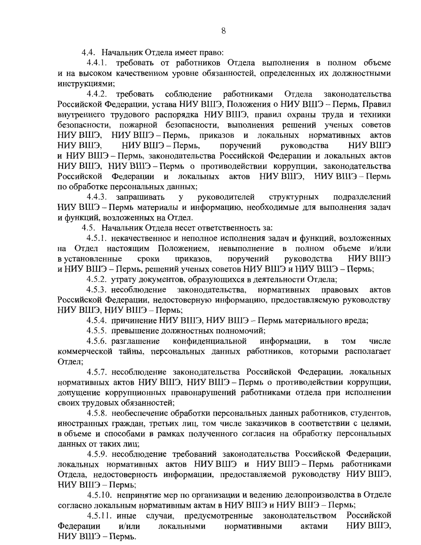4.4. Начальник Отдела имеет право:

4.4.1. требовать от работников Отдела выполнения в полном объеме и на высоком качественном уровне обязанностей, определенных их должностными инструкциями;

требовать соблюдение работниками Отдела 4.4.2. законодательства Российской Федерации, устава НИУ ВШЭ, Положения о НИУ ВШЭ - Пермь, Правил внутреннего трудового распорядка НИУ ВШЭ, правил охраны труда и техники безопасности, пожарной безопасности, выполнения решений ученых советов НИУ ВШЭ, НИУ ВШЭ - Пермь, приказов и локальных нормативных актов НИУ ВШЭ. НИУ ВШЭ – Пермь, поручений руководства ЕШЯ УМН и НИУ ВШЭ - Пермь, законодательства Российской Федерации и локальных актов НИУ ВШЭ, НИУ ВШЭ - Пермь о противодействии коррупции, законодательства Российской Федерации и локальных актов НИУВШЭ, НИУВШЭ-Пермь по обработке персональных данных:

4.4.3. запрашивать руководителей структурных подразделений y НИУ ВШЭ - Пермь материалы и информацию, необходимые для выполнения задач и функций, возложенных на Отдел.

4.5. Начальник Отдела несет ответственность за:

4.5.1. некачественное и неполное исполнения задач и функций, возложенных на Отдел настоящим Положением, невыполнение в полном объеме и/или в установленные сроки приказов, поручений руководства **EIIIS ANH** и НИУ ВШЭ – Пермь, решений ученых советов НИУ ВШЭ и НИУ ВШЭ – Пермь;

4.5.2. утрату документов, образующихся в деятельности Отдела;

законодательства, 4.5.3. несоблюдение нормативных правовых актов Российской Федерации, недостоверную информацию, предоставляемую руководству НИУ ВШЭ, НИУ ВШЭ – Пермь;

4.5.4. причинение НИУ ВШЭ, НИУ ВШЭ - Пермь материального вреда;

4.5.5. превышение должностных полномочий;

4.5.6. разглашение конфиденциальной информации,  $\mathbf{B}$ **TOM** числе коммерческой тайны, персональных данных работников, которыми располагает Отдел:

4.5.7. несоблюдение законодательства Российской Федерации, локальных нормативных актов НИУ ВШЭ, НИУ ВШЭ - Пермь о противодействии коррупции, допущение коррупционных правонарушений работниками отдела при исполнении своих трудовых обязанностей;

4.5.8. необеспечение обработки персональных данных работников, студентов, иностранных граждан, третьих лиц, том числе заказчиков в соответствии с целями. в объеме и способами в рамках полученного согласия на обработку персональных данных от таких лиц:

4.5.9. несоблюдение требований законодательства Российской Федерации, локальных нормативных актов НИУВШЭ и НИУВШЭ-Пермь работниками Отдела, недостоверность информации, предоставляемой руководству НИУ ВШЭ, НИУ ВШЭ - Пермь;

4.5.10. непринятие мер по организации и ведению делопроизводства в Отделе согласно локальным нормативным актам в НИУ ВШЭ и НИУ ВШЭ - Пермь;

предусмотренные законодательством Российской  $4.5.11.$  иные случаи, НИУ ВШЭ. Федерации  $M/MJ$ локальными нормативными актами НИУ ВШЭ - Пермь.